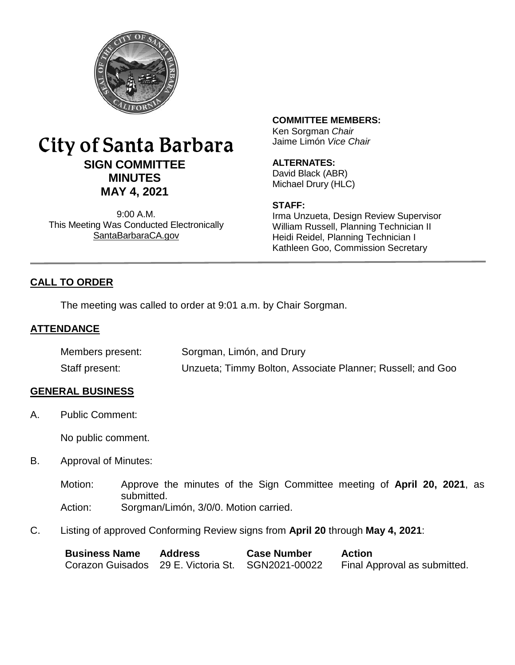

# City of Santa Barbara **SIGN COMMITTEE MINUTES MAY 4, 2021**

9:00 A.M. This Meeting Was Conducted Electronically [SantaBarbaraCA.gov](http://www.santabarbaraca.gov/)

# **COMMITTEE MEMBERS:**

Ken Sorgman *Chair* Jaime Limón *Vice Chair*

# **ALTERNATES:**

David Black (ABR) Michael Drury (HLC)

#### **STAFF:**

Irma Unzueta, Design Review Supervisor William Russell, Planning Technician II Heidi Reidel, Planning Technician I Kathleen Goo, Commission Secretary

# **CALL TO ORDER**

The meeting was called to order at 9:01 a.m. by Chair Sorgman.

#### **ATTENDANCE**

| Members present: | Sorgman, Limón, and Drury                                  |
|------------------|------------------------------------------------------------|
| Staff present:   | Unzueta; Timmy Bolton, Associate Planner; Russell; and Goo |

#### **GENERAL BUSINESS**

A. Public Comment:

No public comment.

- B. Approval of Minutes:
	- Motion: Approve the minutes of the Sign Committee meeting of **April 20, 2021**, as submitted. Action: Sorgman/Limón, 3/0/0. Motion carried.
- C. Listing of approved Conforming Review signs from **April 20** through **May 4, 2021**:

| <b>Business Name</b>                              | <b>Address</b> | <b>Case Number</b> | <b>Action</b>                |
|---------------------------------------------------|----------------|--------------------|------------------------------|
| Corazon Guisados 29 E. Victoria St. SGN2021-00022 |                |                    | Final Approval as submitted. |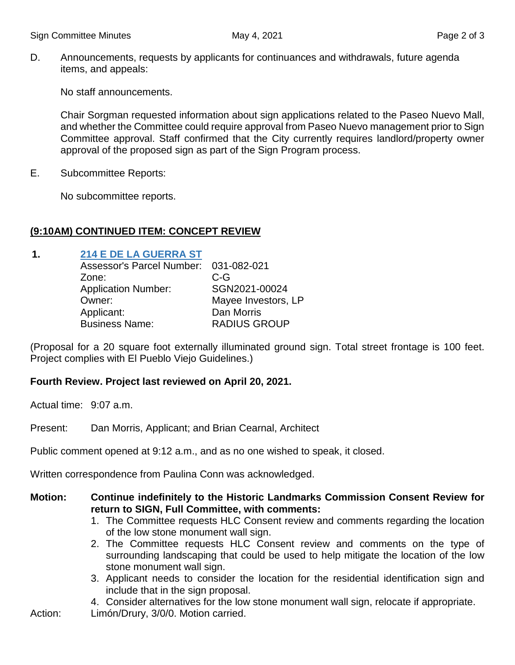D. Announcements, requests by applicants for continuances and withdrawals, future agenda items, and appeals:

No staff announcements.

Chair Sorgman requested information about sign applications related to the Paseo Nuevo Mall, and whether the Committee could require approval from Paseo Nuevo management prior to Sign Committee approval. Staff confirmed that the City currently requires landlord/property owner approval of the proposed sign as part of the Sign Program process.

E. Subcommittee Reports:

No subcommittee reports.

# **(9:10AM) CONTINUED ITEM: CONCEPT REVIEW**

### **1. [214 E DE LA GUERRA ST](https://www.santabarbaraca.gov/civicax/filebank/blobdload.aspx?BlobID=235826)**

| Assessor's Parcel Number: 031-082-021 |                     |
|---------------------------------------|---------------------|
| Zone:                                 | $C-G$               |
| <b>Application Number:</b>            | SGN2021-00024       |
| Owner:                                | Mayee Investors, LP |
| Applicant:                            | Dan Morris          |
| <b>Business Name:</b>                 | <b>RADIUS GROUP</b> |

(Proposal for a 20 square foot externally illuminated ground sign. Total street frontage is 100 feet. Project complies with El Pueblo Viejo Guidelines.)

# **Fourth Review. Project last reviewed on April 20, 2021.**

Actual time: 9:07 a.m.

Present: Dan Morris, Applicant; and Brian Cearnal, Architect

Public comment opened at 9:12 a.m., and as no one wished to speak, it closed.

Written correspondence from Paulina Conn was acknowledged.

- **Motion: Continue indefinitely to the Historic Landmarks Commission Consent Review for return to SIGN, Full Committee, with comments:**
	- 1. The Committee requests HLC Consent review and comments regarding the location of the low stone monument wall sign.
	- 2. The Committee requests HLC Consent review and comments on the type of surrounding landscaping that could be used to help mitigate the location of the low stone monument wall sign.
	- 3. Applicant needs to consider the location for the residential identification sign and include that in the sign proposal.
	- 4. Consider alternatives for the low stone monument wall sign, relocate if appropriate.
- Action: Limón/Drury, 3/0/0. Motion carried.